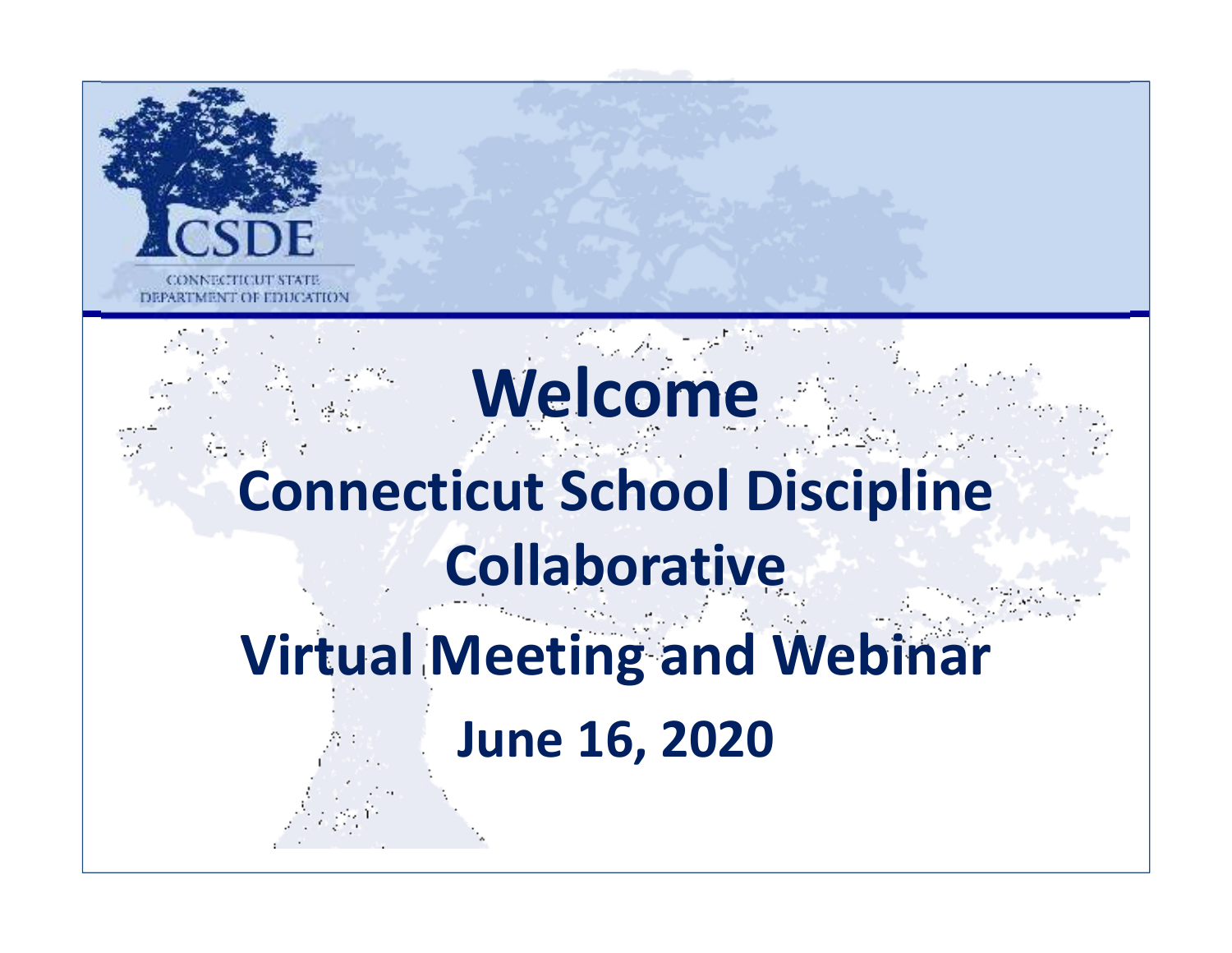

# **Welcome Connecticut School Discipline Collaborative**

# **Virtual Meeting and Webinar**

**June 16, 2020**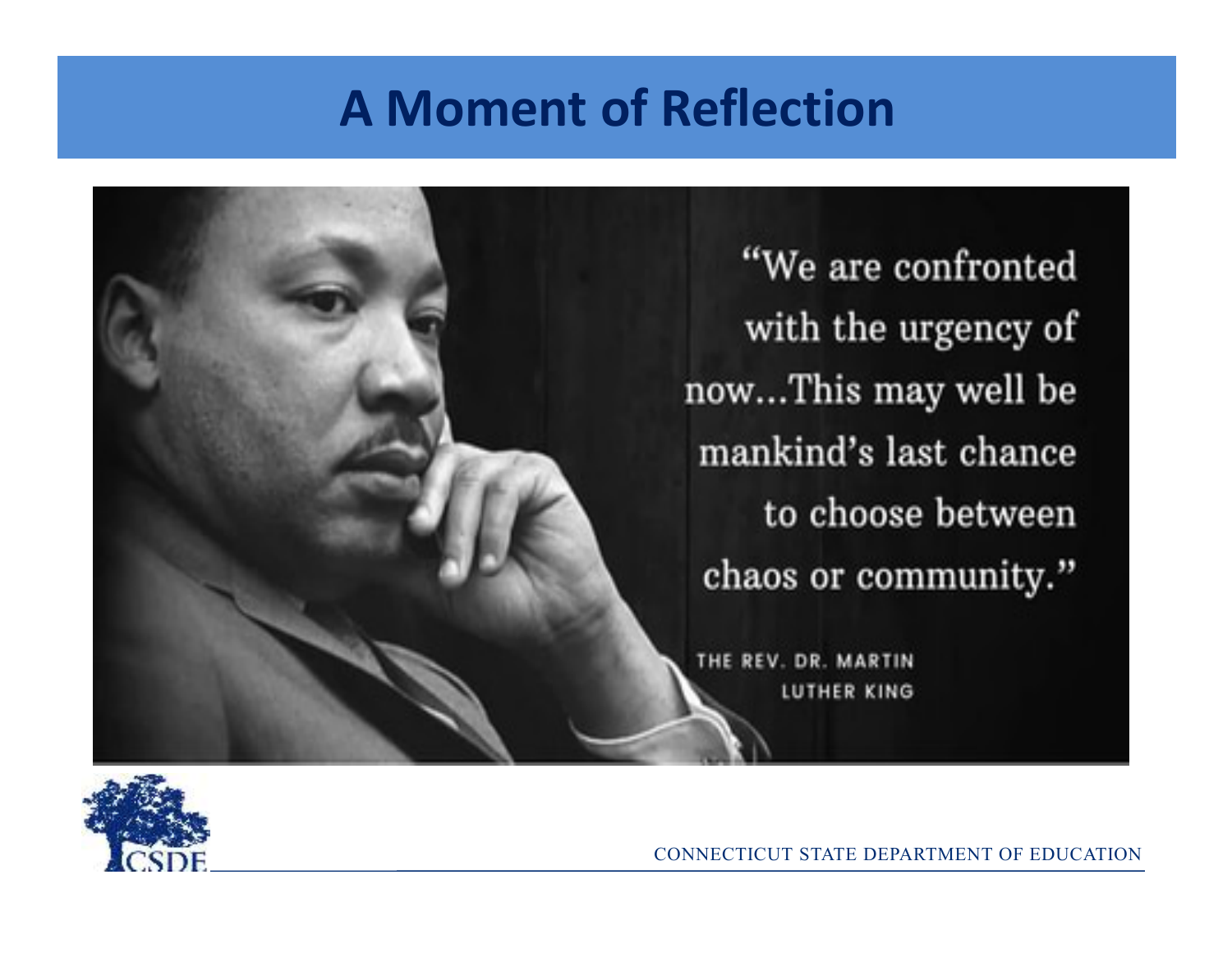## **A Moment of Reflection**

"We are confronted with the urgency of now...This may well be mankind's last chance to choose between chaos or community."

THE REV. DR. MARTIN LUTHER KING

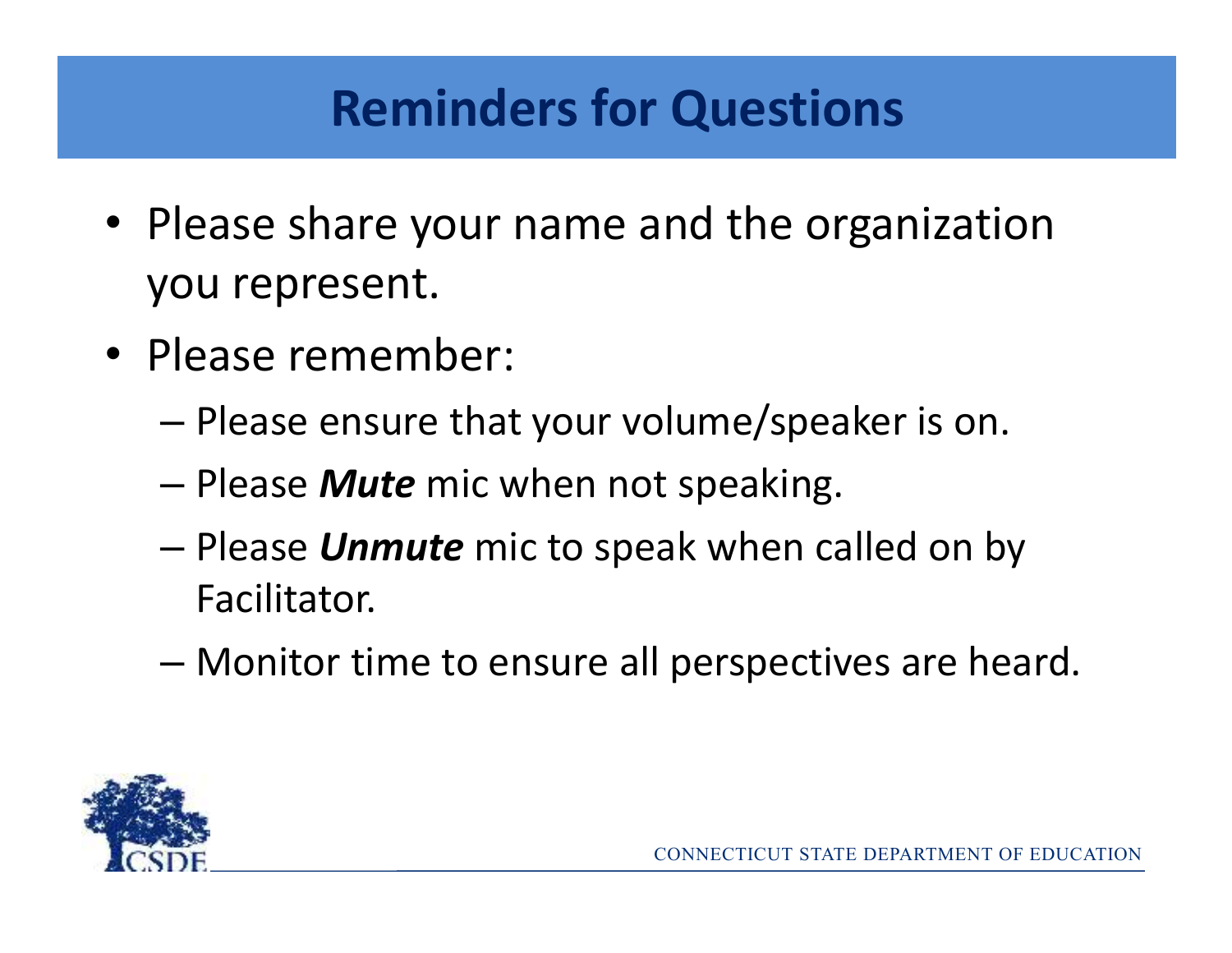## **Reminders for Questions**

- Please share your name and the organization you represent.
- Please remember:
	- Please ensure that your volume/speaker is on.
	- –Please *Mute* mic when not speaking.
	- – Please *Unmute* mic to speak when called on by Facilitator.
	- Monitor time to ensure all perspectives are heard.

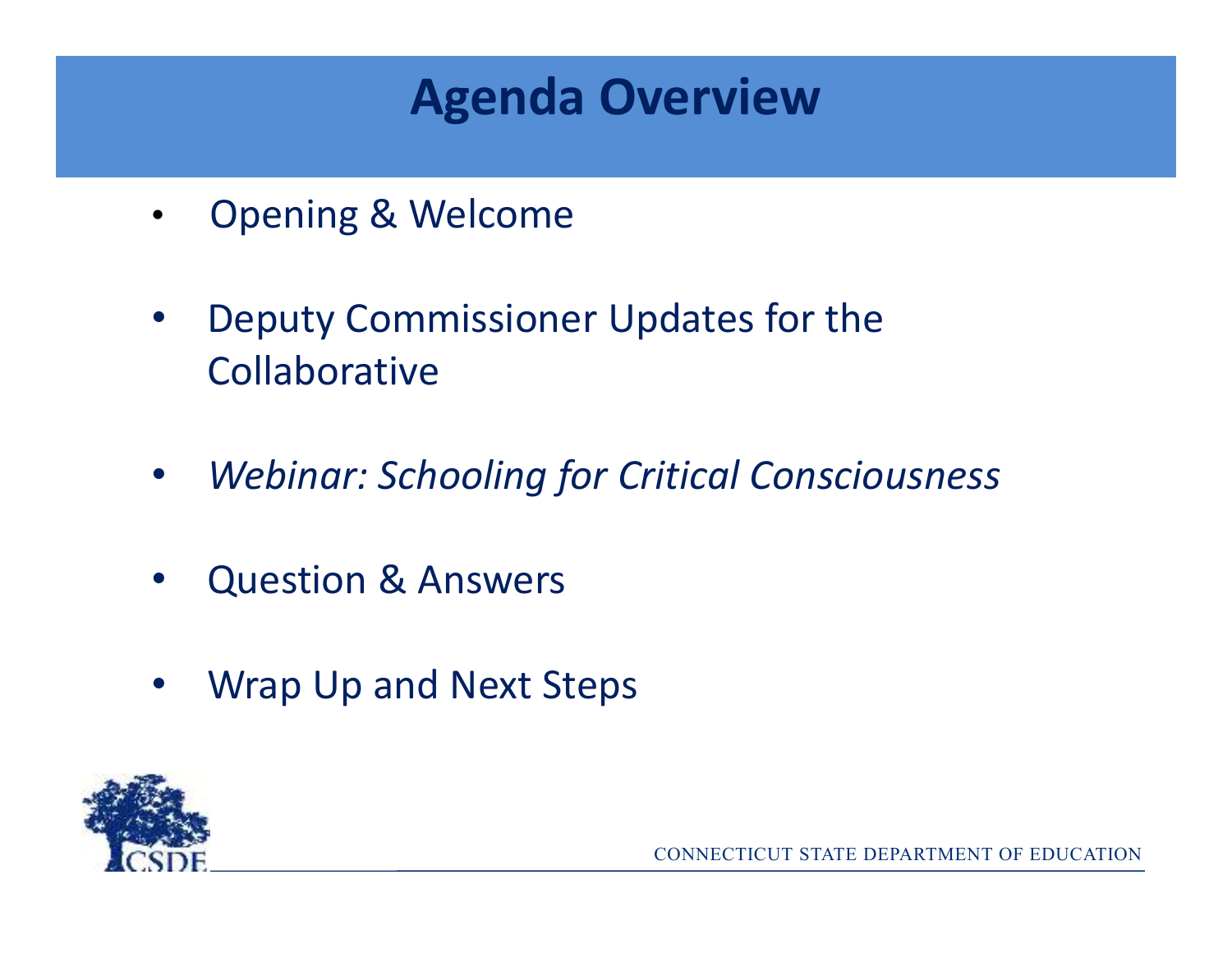## **Agenda Overview**

- $\bullet$ Opening & Welcome
- $\bullet$  Deputy Commissioner Updates for the Collaborative
- $\bullet$ *Webinar: Schooling for Critical Consciousness*
- •Question & Answers
- $\bullet$ Wrap Up and Next Steps

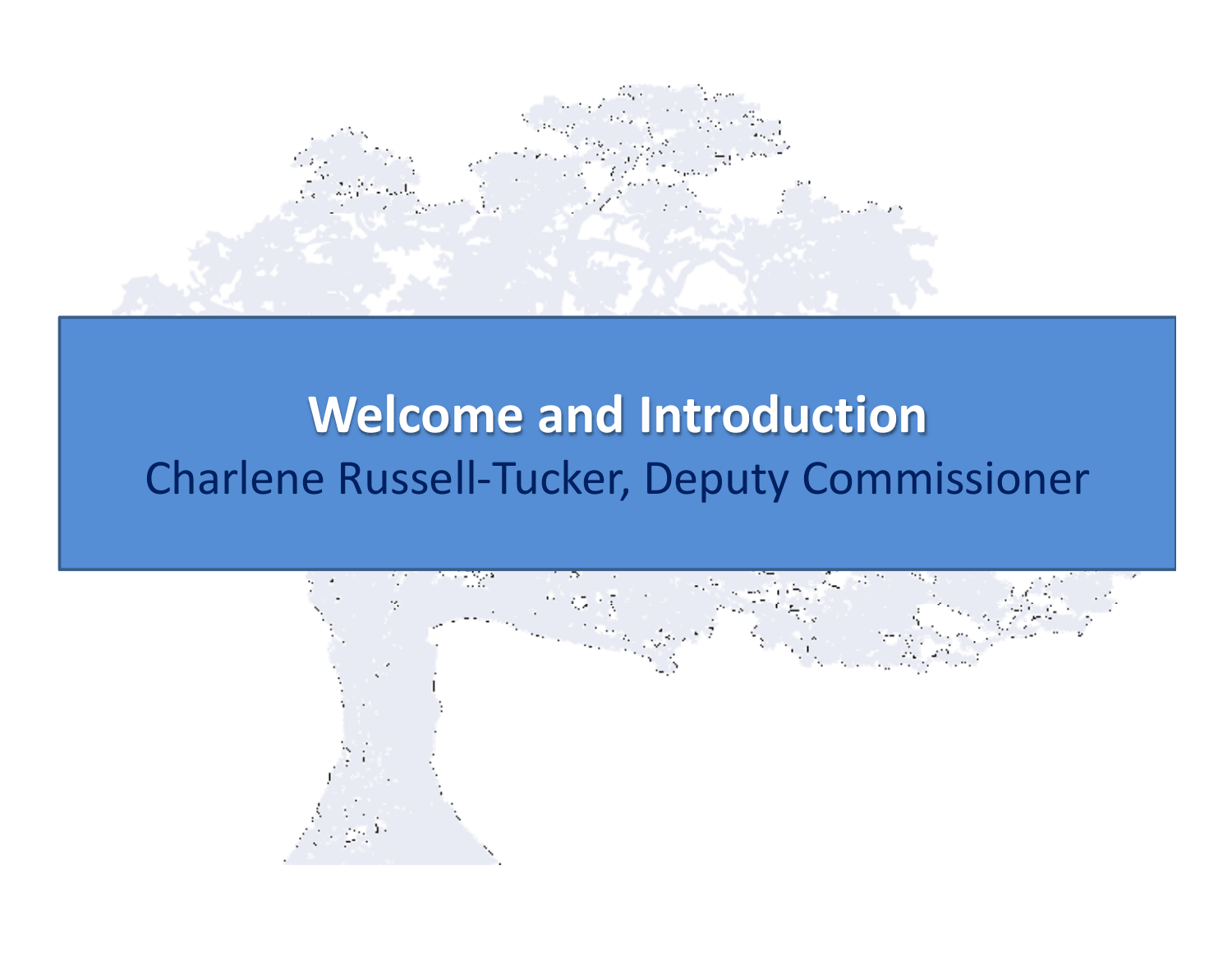

## **Welcome and Introduction**Charlene Russell-Tucker, Deputy Commissioner

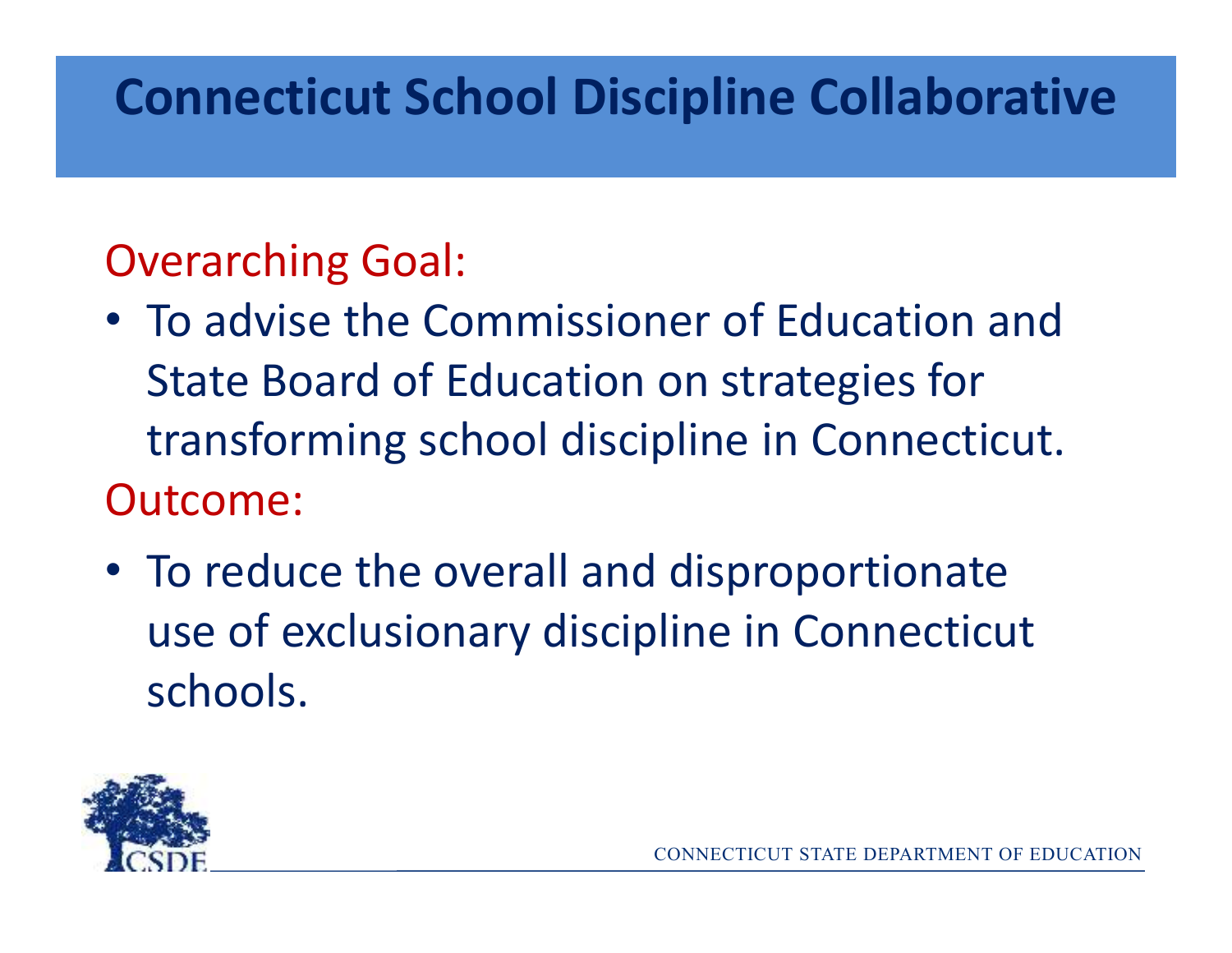## **Connecticut School Discipline Collaborative**

## Overarching Goal:

- To advise the Commissioner of Education and State Board of Education on strategies for transforming school discipline in Connecticut.Outcome:
- To reduce the overall and disproportionate use of exclusionary discipline in Connecticut schools.

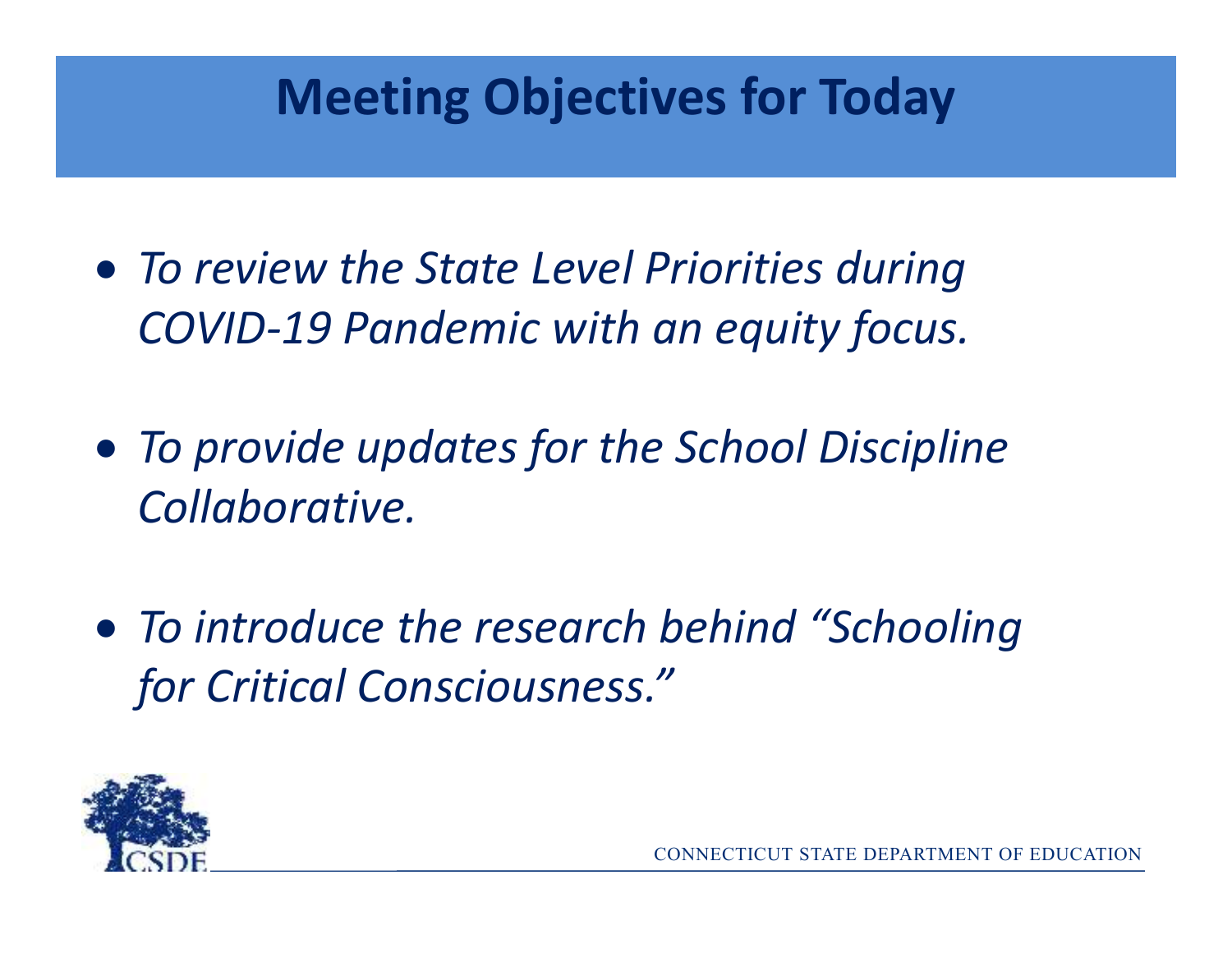## **Meeting Objectives for Today**

- *To review the State Level Priorities during COVID-19 Pandemic with an equity focus.*
- *To provide updates for the School Discipline Collaborative.*
- *To introduce the research behind "Schooling for Critical Consciousness."*

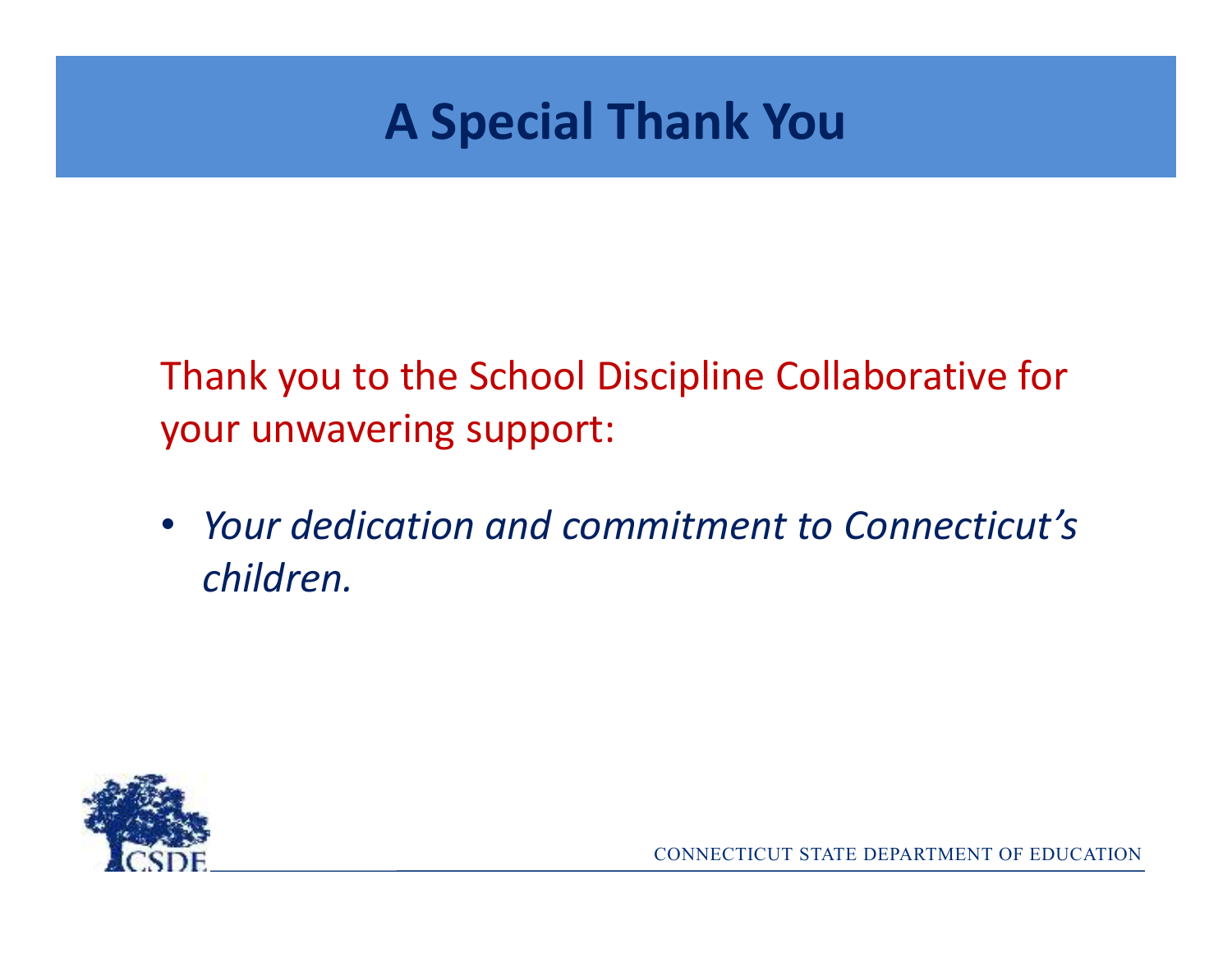## **A Special Thank You**

Thank you to the School Discipline Collaborative for your unwavering support:

• *Your dedication and commitment to Connecticut's children.* 

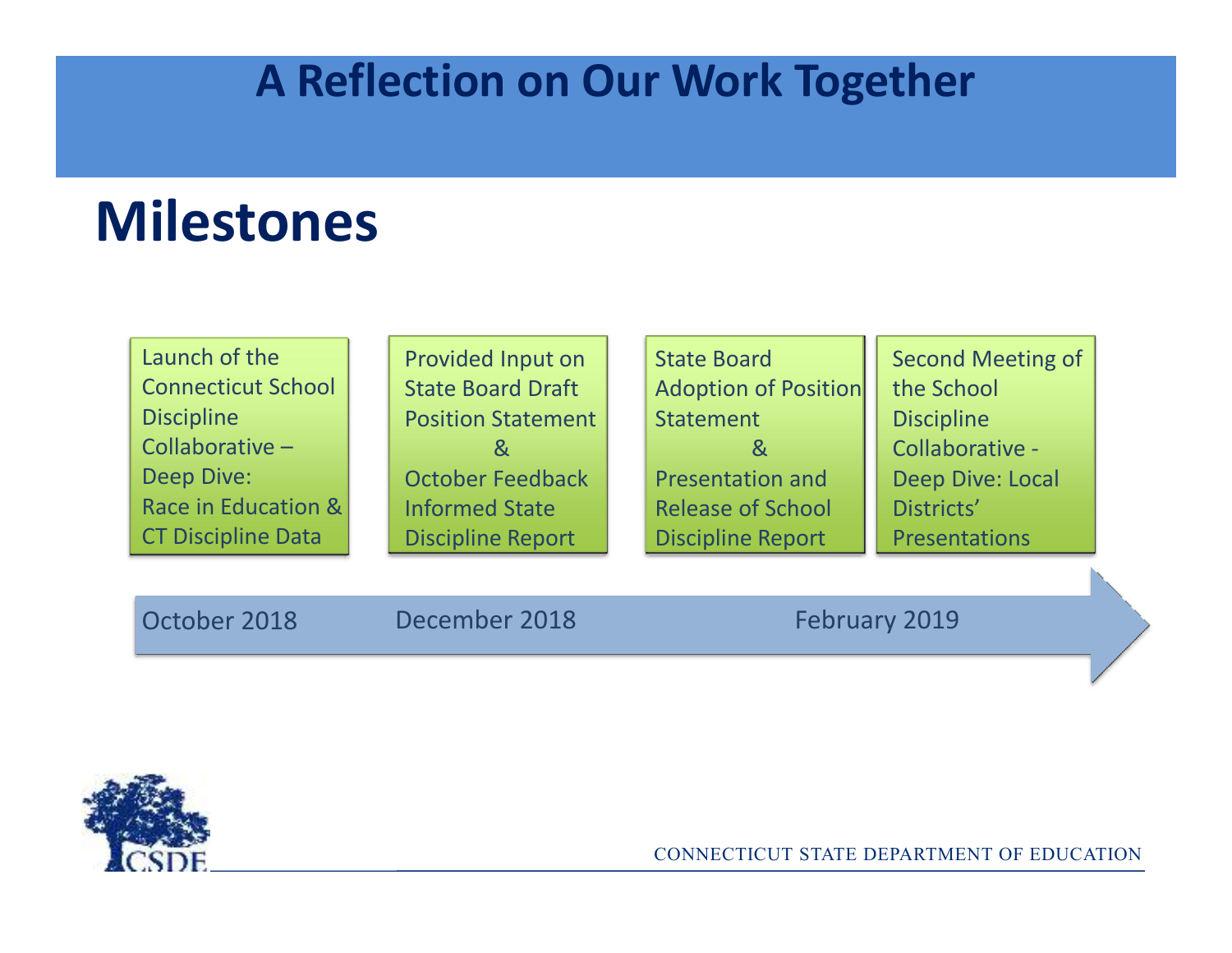## **A Reflection on Our Work Together**

## **Milestones**

| Launch of the             | Provided Input on         | <b>State Board</b>       | <b>Second Meeting of</b> |
|---------------------------|---------------------------|--------------------------|--------------------------|
| <b>Connecticut School</b> | <b>State Board Draft</b>  | Adoption of Position     | the School               |
| <b>Discipline</b>         | <b>Position Statement</b> | <b>Statement</b>         | <b>Discipline</b>        |
| Collaborative -           |                           | &                        | Collaborative -          |
| <b>Deep Dive:</b>         | October Feedback          | <b>Presentation and</b>  | <b>Deep Dive: Local</b>  |
| Race in Education &       | <b>Informed State</b>     | <b>Release of School</b> | Districts'               |
| <b>CT Discipline Data</b> | <b>Discipline Report</b>  | <b>Discipline Report</b> | <b>Presentations</b>     |
|                           |                           |                          |                          |

October 2018

December 2018 February 2019

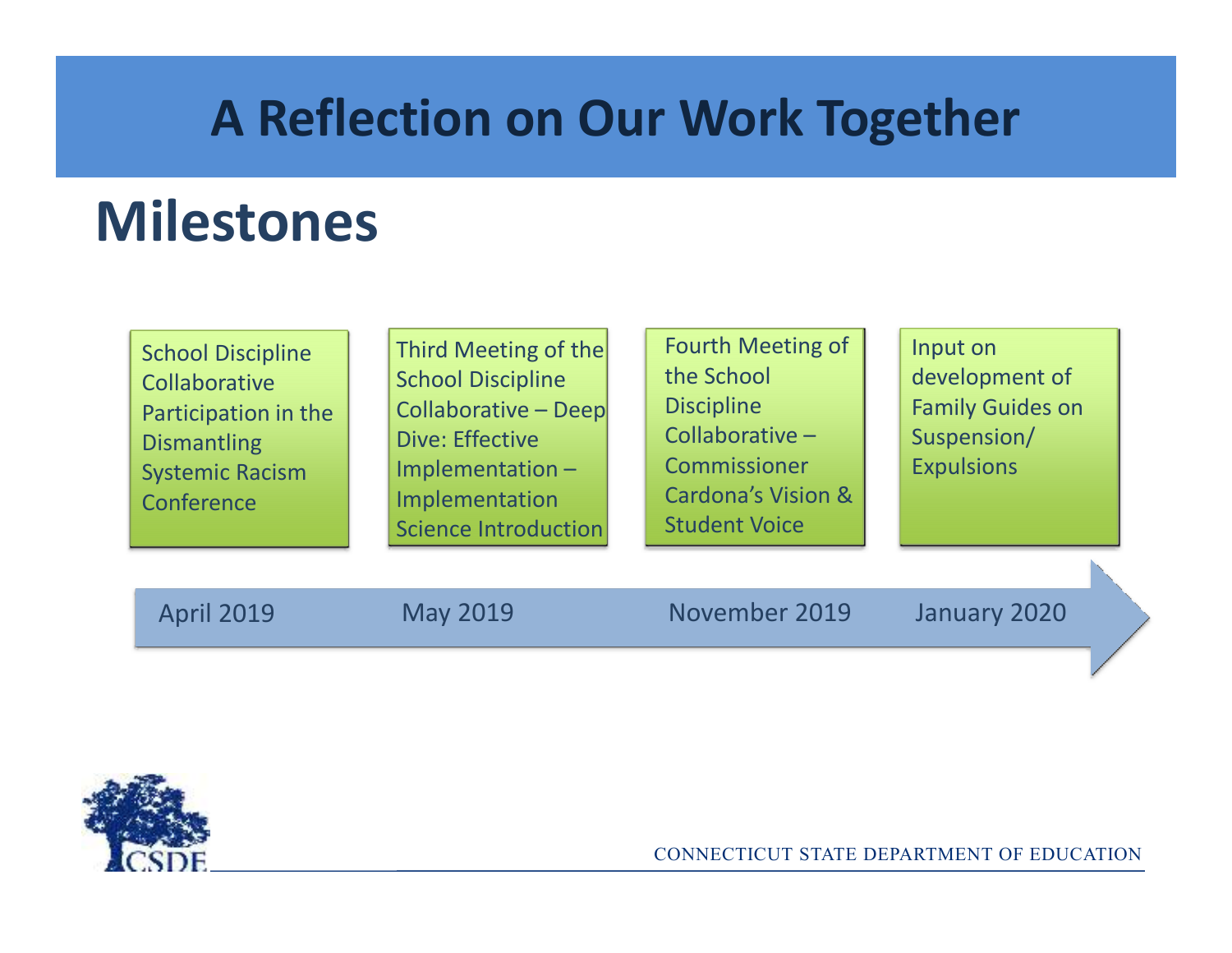## **A Reflection on Our Work Together**

## **Milestones**

| <b>School Discipline</b> | Third Meeting of the        |
|--------------------------|-----------------------------|
| Collaborative            | <b>School Discipline</b>    |
| Participation in the     | <b>Collaborative - Deep</b> |
| <b>Dismantling</b>       | <b>Dive: Effective</b>      |
| <b>Systemic Racism</b>   | Implementation-             |
|                          |                             |
|                          | <b>Science Introduction</b> |
| Conference               | Implementation              |

Input on development of Family Guides on Suspension/**Expulsions** 

April 2019

May 2019 November 2019 January 2020

Fourth Meeting of

the School

**Discipline** 

Collaborative –

Commissioner

Student Voice

Cardona's Vision &

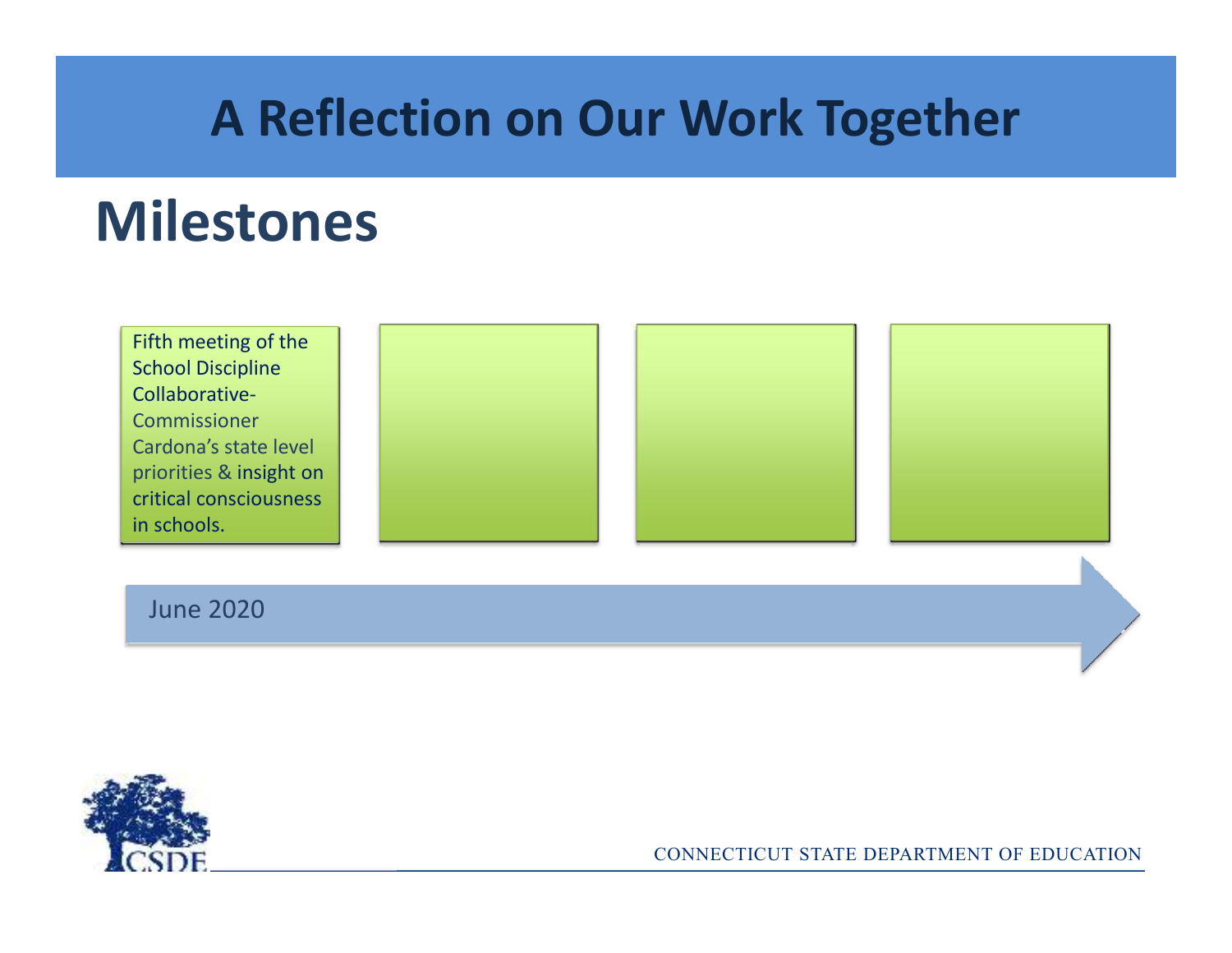## **A Reflection on Our Work Together**

## **Milestones**

Fifth meeting of the School Discipline Collaborative-Commissioner Cardona's state level priorities & insight on critical consciousness in schools.







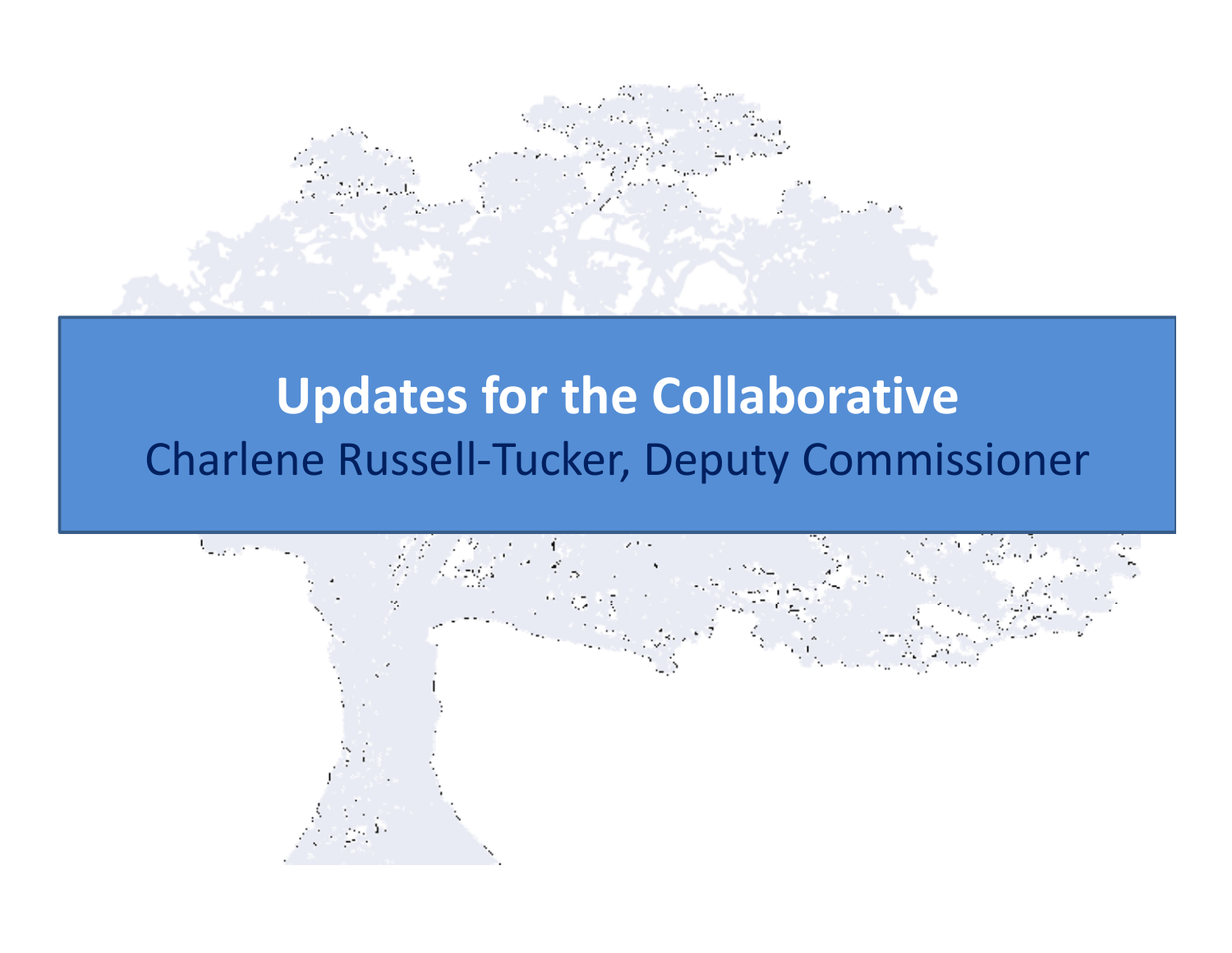

## **Updates for the Collaborative**Charlene Russell-Tucker, Deputy Commissioner

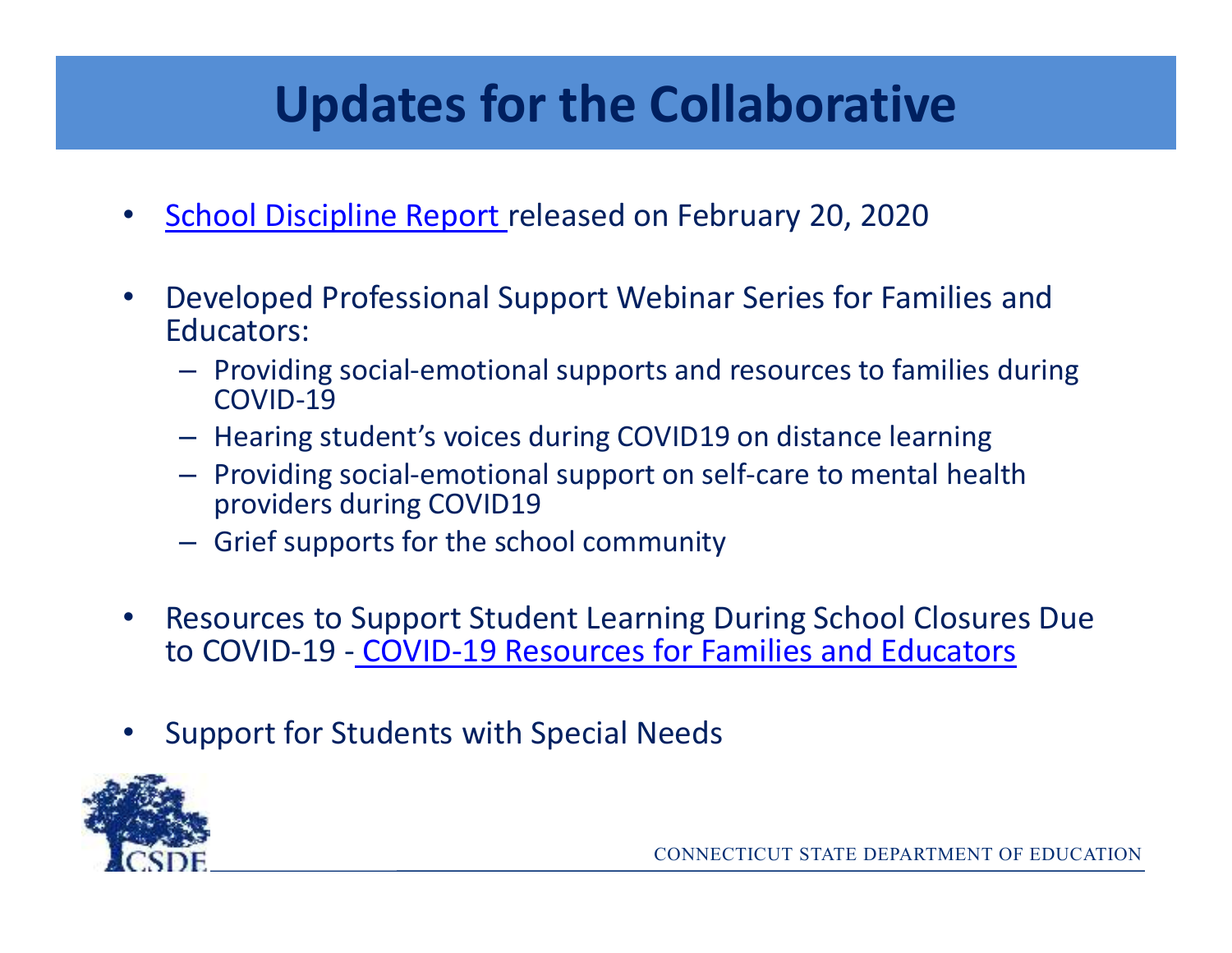## **Updates for the Collaborative**

- $\bullet$ School Discipline Report released on February 20, 2020
- $\bullet$  Developed Professional Support Webinar Series for Families and Educators:
	- Providing social-emotional supports and resources to families during COVID-19
	- Hearing student's voices during COVID19 on distance learning
	- Providing social-emotional support on self-care to mental health providers during COVID19
	- Grief supports for the school community
- $\bullet$  Resources to Support Student Learning During School Closures Due to COVID-19 - COVID-19 Resources for Families and Educators
- •Support for Students with Special Needs

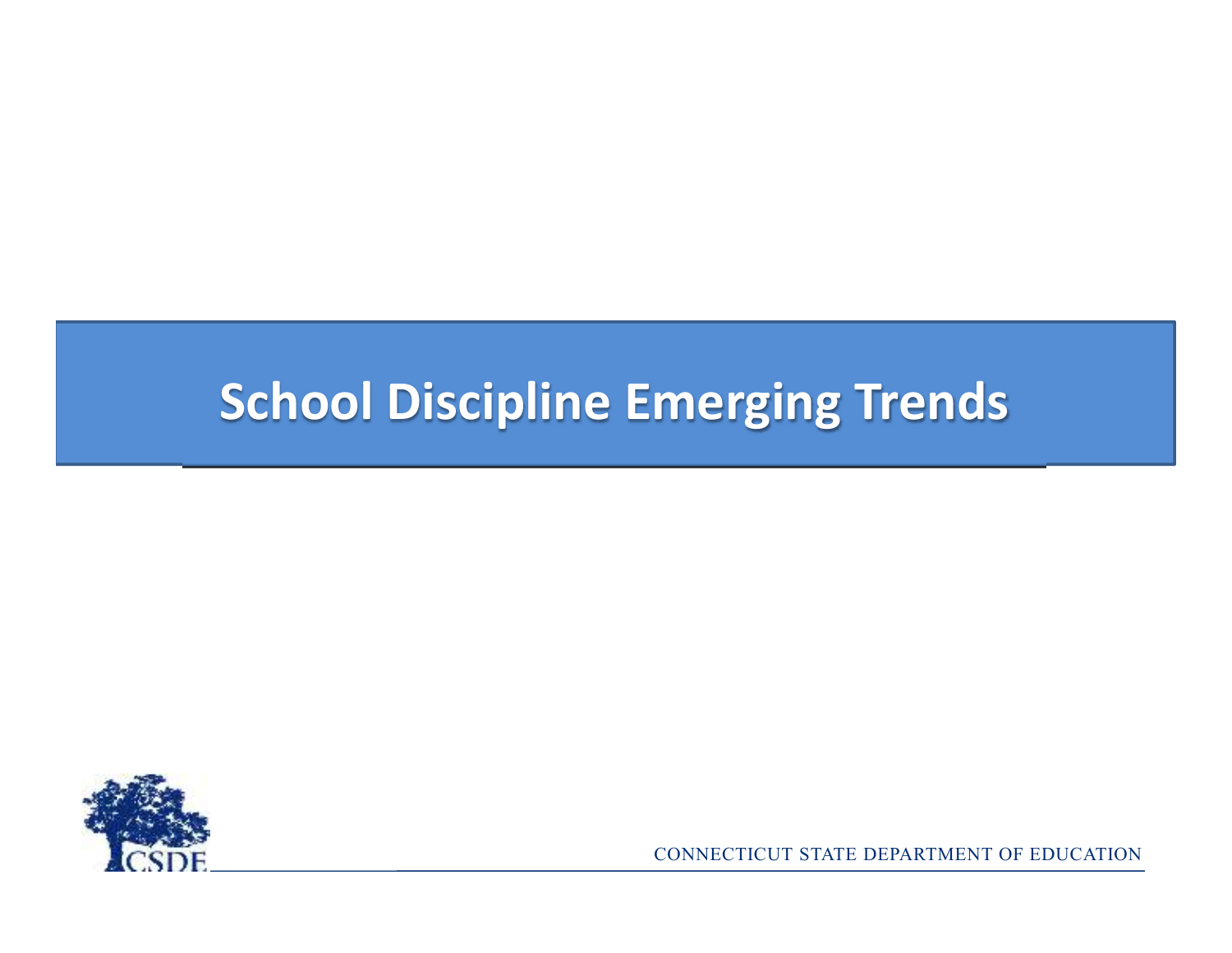## **School Discipline Emerging Trends**

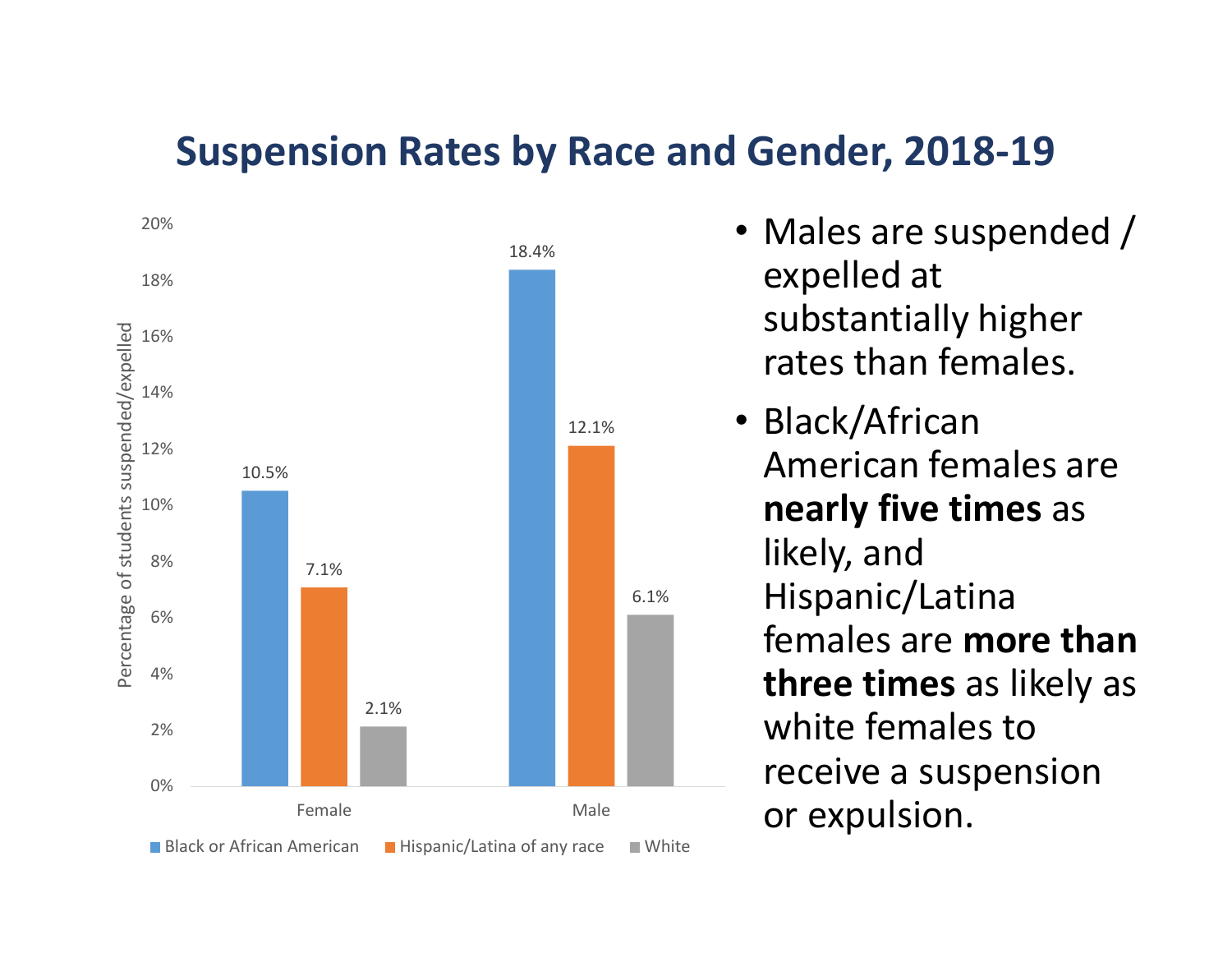#### **Suspension Rates by Race and Gender, 2018-19**



- Males are suspended / expelled at substantially higher rates than females.
- Black/African American females are **nearly five times** as likely, and Hispanic/Latina females are **more than three times** as likely as white females to receive a suspension or expulsion.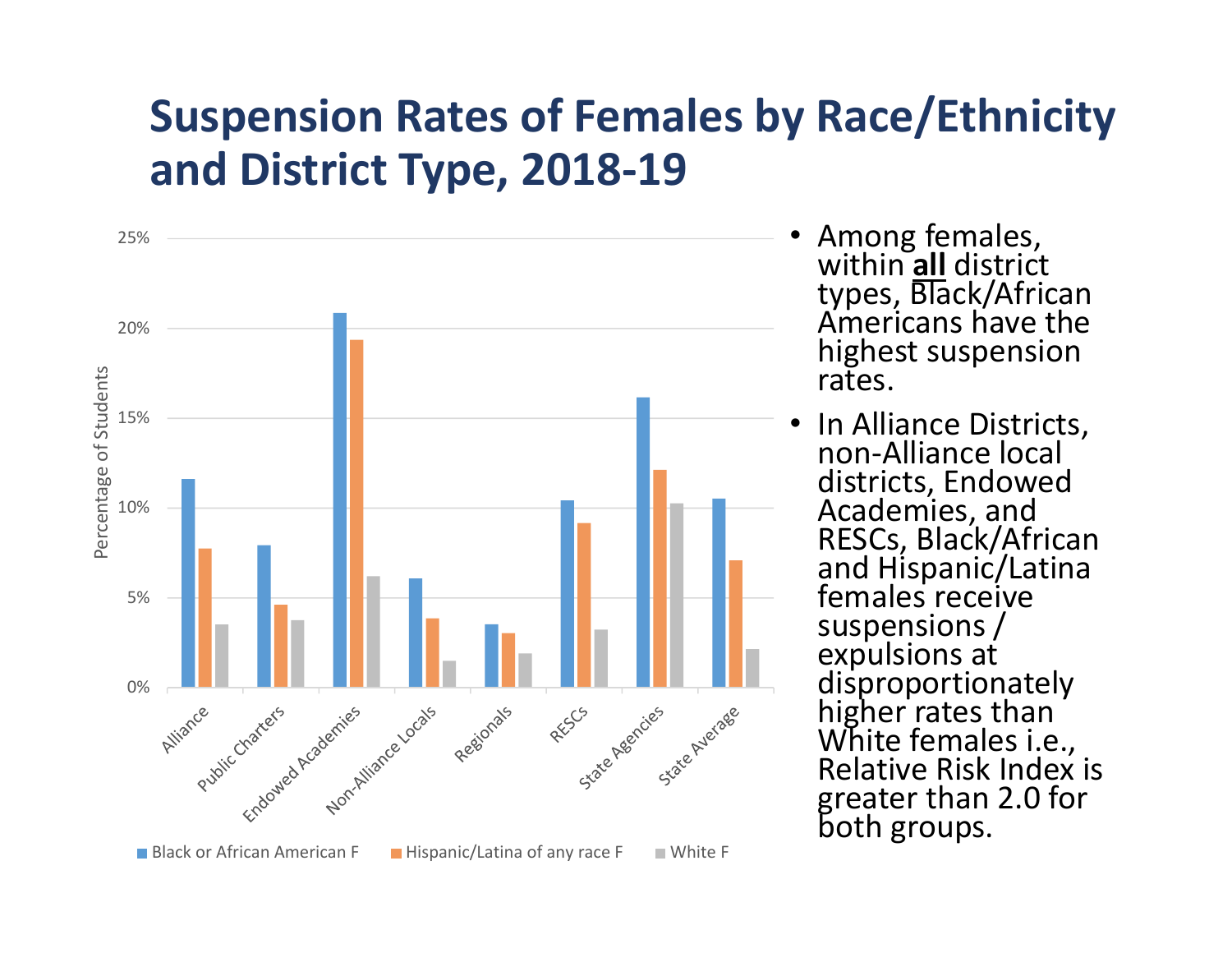## **Suspension Rates of Females by Race/Ethnicity and District Type, 2018-19**



- • Among females, within **all** district types, Black/African<br>Americans have the highest suspension rates.
- • In Alliance Districts, non-Alliance local districts, Endowed Academies, and<br>RESCs, Black/African<br>and Hispanic/Latina<br>females receive suspensions /<br>expulsions at<br>disproportionately<br>higher rates than<br>White females i.e.,<br>Relative Risk Index is greater than 2.0 for<br>both groups.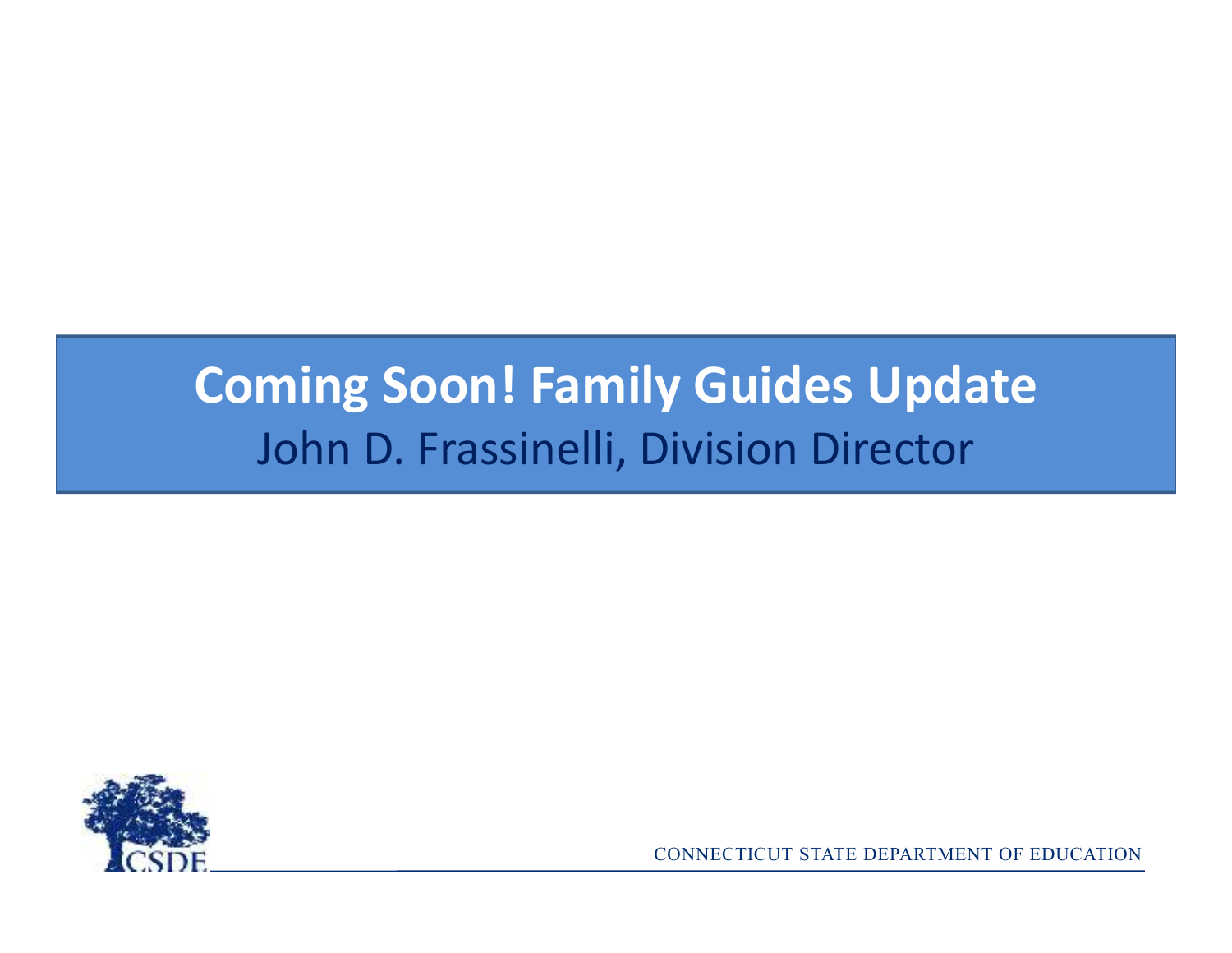## **Coming Soon! Family Guides Update**John D. Frassinelli, Division Director

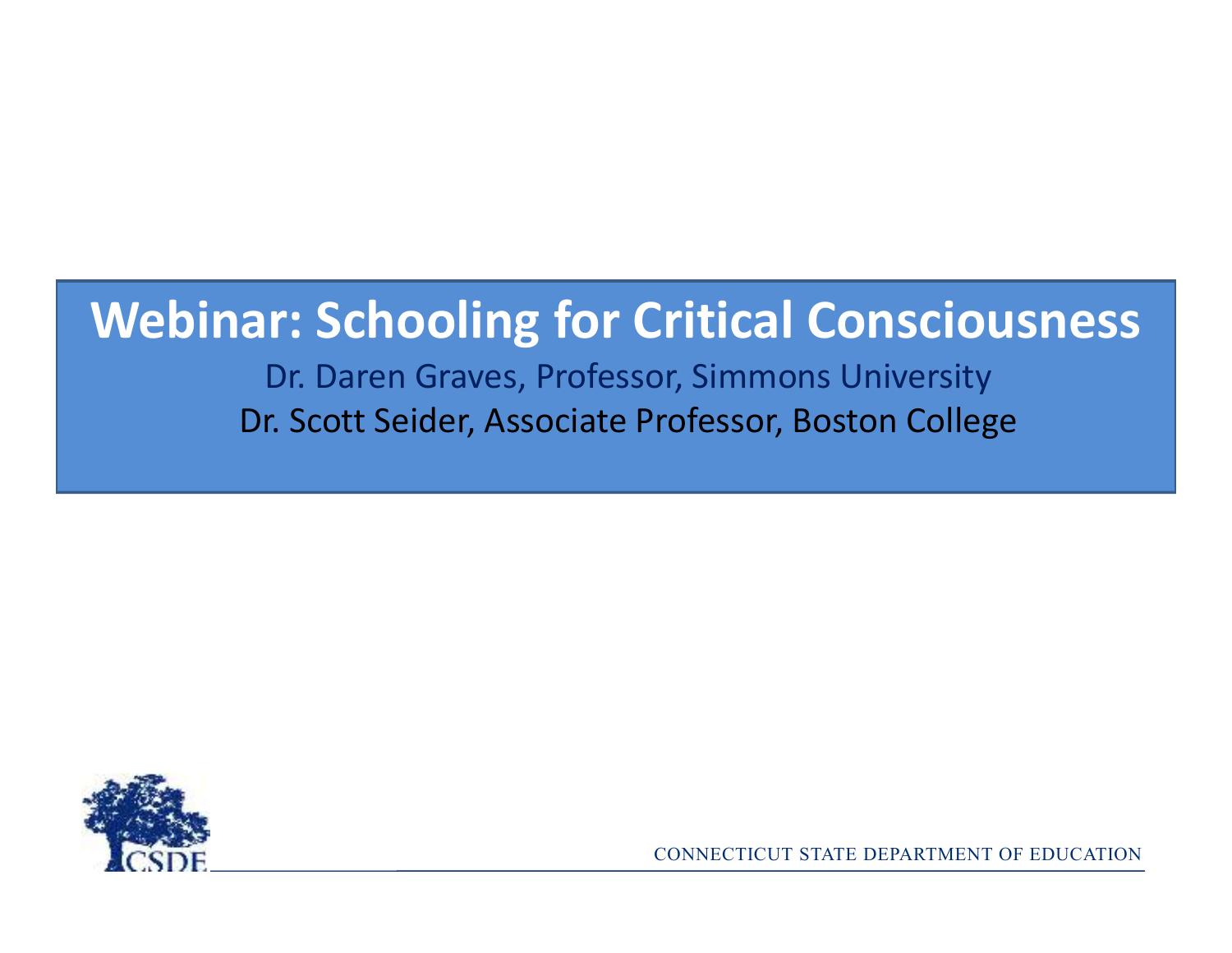## **Webinar: Schooling for Critical Consciousness**

Dr. Daren Graves, Professor, Simmons UniversityDr. Scott Seider, Associate Professor, Boston College

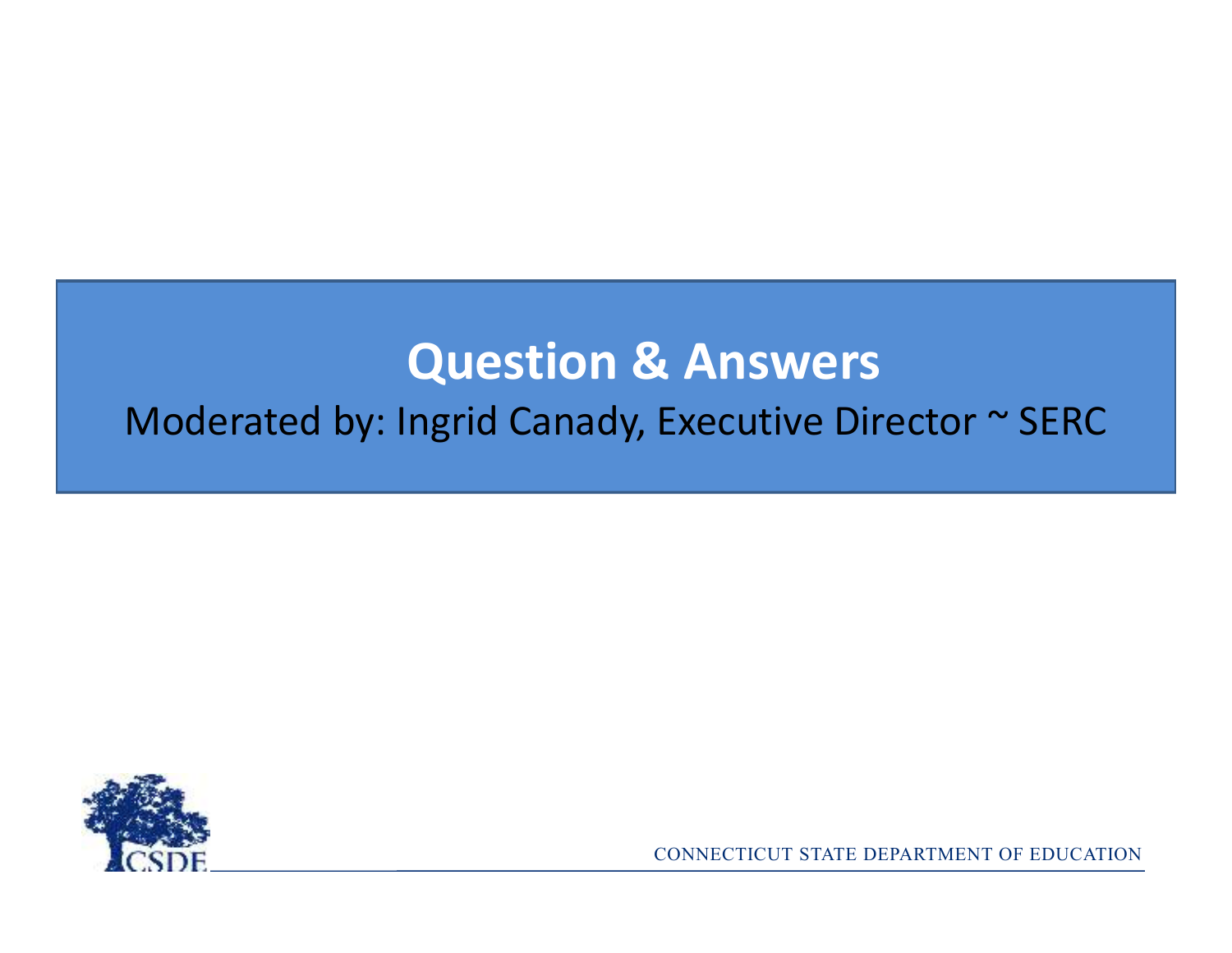## **Question & Answers**Moderated by: Ingrid Canady, Executive Director ~ SERC

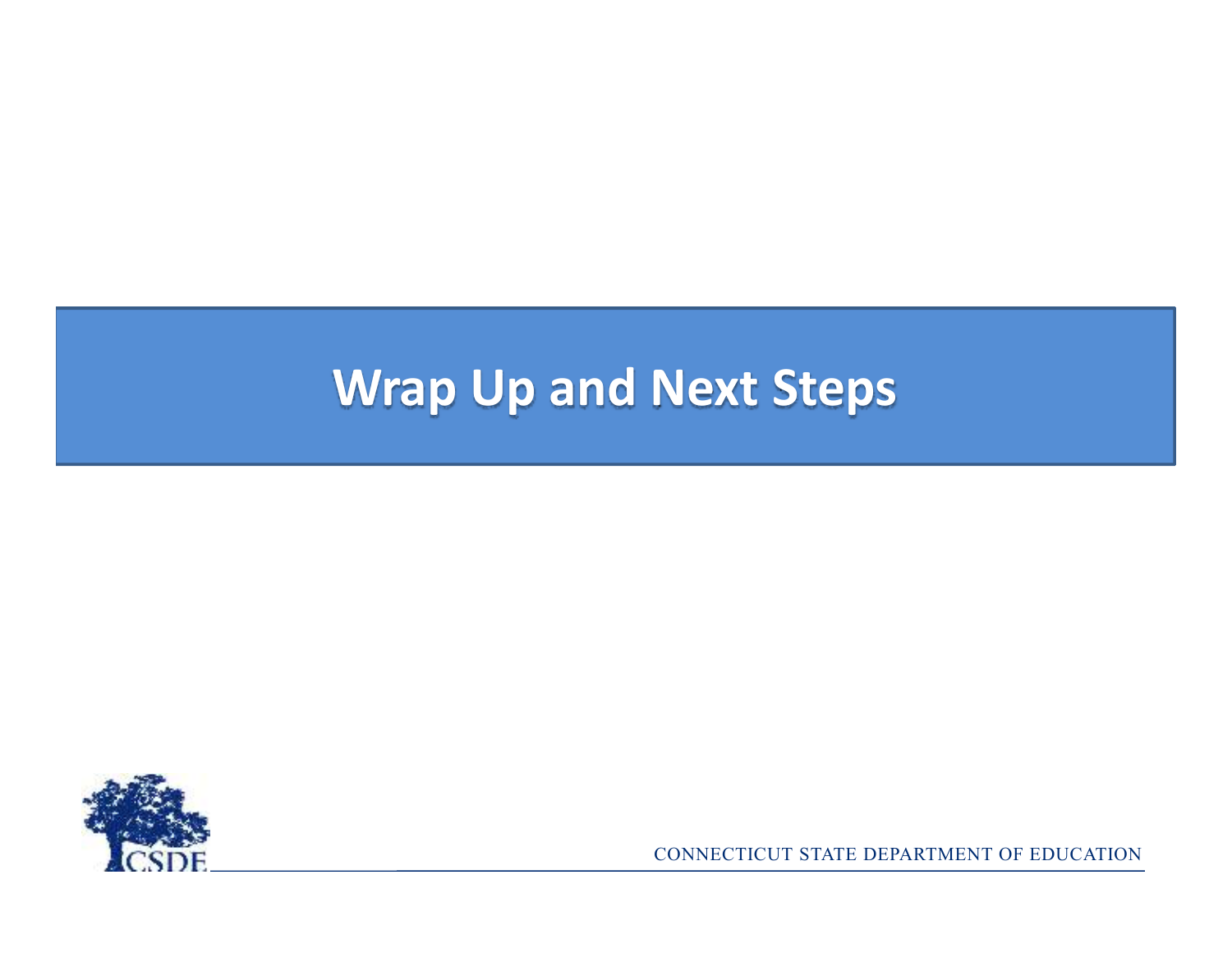## **Wrap Up and Next Steps**